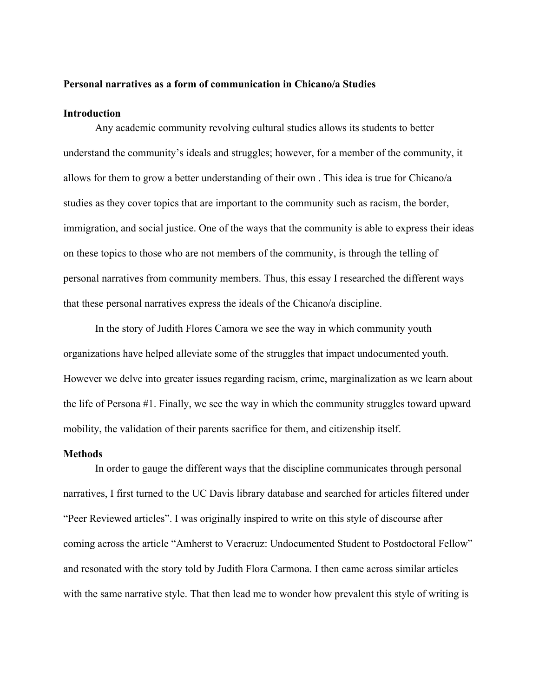# **Personal narratives as a form of communication in Chicano/a Studies**

# **Introduction**

Any academic community revolving cultural studies allows its students to better understand the community's ideals and struggles; however, for a member of the community, it allows for them to grow a better understanding of their own . This idea is true for Chicano/a studies as they cover topics that are important to the community such as racism, the border, immigration, and social justice. One of the ways that the community is able to express their ideas on these topics to those who are not members of the community, is through the telling of personal narratives from community members. Thus, this essay I researched the different ways that these personal narratives express the ideals of the Chicano/a discipline.

In the story of Judith Flores Camora we see the way in which community youth organizations have helped alleviate some of the struggles that impact undocumented youth. However we delve into greater issues regarding racism, crime, marginalization as we learn about the life of Persona #1. Finally, we see the way in which the community struggles toward upward mobility, the validation of their parents sacrifice for them, and citizenship itself.

#### **Methods**

In order to gauge the different ways that the discipline communicates through personal narratives, I first turned to the UC Davis library database and searched for articles filtered under "Peer Reviewed articles". I was originally inspired to write on this style of discourse after coming across the article "Amherst to Veracruz: Undocumented Student to Postdoctoral Fellow" and resonated with the story told by Judith Flora Carmona. I then came across similar articles with the same narrative style. That then lead me to wonder how prevalent this style of writing is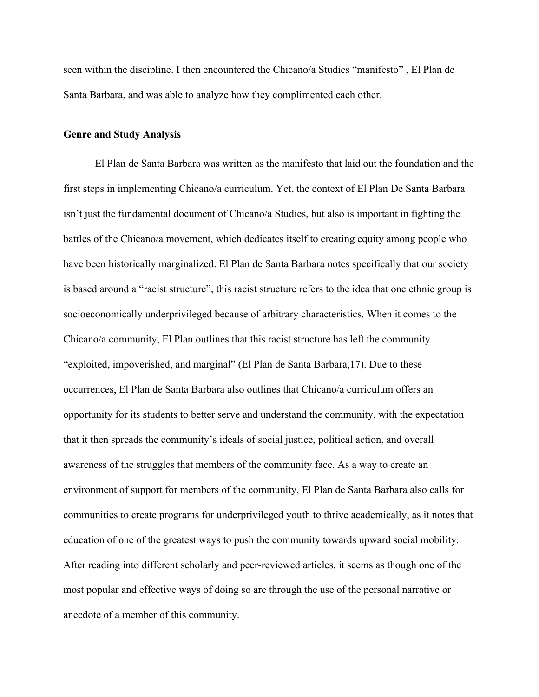seen within the discipline. I then encountered the Chicano/a Studies "manifesto" , El Plan de Santa Barbara, and was able to analyze how they complimented each other.

#### **Genre and Study Analysis**

El Plan de Santa Barbara was written as the manifesto that laid out the foundation and the first steps in implementing Chicano/a curriculum. Yet, the context of El Plan De Santa Barbara isn't just the fundamental document of Chicano/a Studies, but also is important in fighting the battles of the Chicano/a movement, which dedicates itself to creating equity among people who have been historically marginalized. El Plan de Santa Barbara notes specifically that our society is based around a "racist structure", this racist structure refers to the idea that one ethnic group is socioeconomically underprivileged because of arbitrary characteristics. When it comes to the Chicano/a community, El Plan outlines that this racist structure has left the community "exploited, impoverished, and marginal" (El Plan de Santa Barbara,17). Due to these occurrences, El Plan de Santa Barbara also outlines that Chicano/a curriculum offers an opportunity for its students to better serve and understand the community, with the expectation that it then spreads the community's ideals of social justice, political action, and overall awareness of the struggles that members of the community face. As a way to create an environment of support for members of the community, El Plan de Santa Barbara also calls for communities to create programs for underprivileged youth to thrive academically, as it notes that education of one of the greatest ways to push the community towards upward social mobility. After reading into different scholarly and peer-reviewed articles, it seems as though one of the most popular and effective ways of doing so are through the use of the personal narrative or anecdote of a member of this community.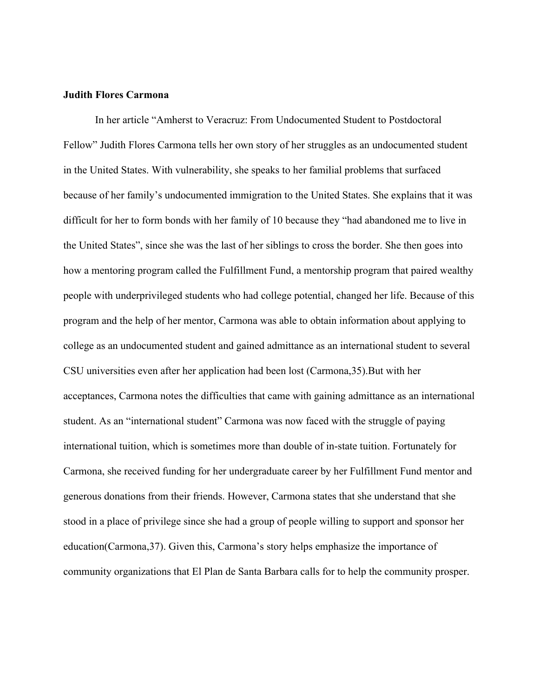### **Judith Flores Carmona**

In her article "Amherst to Veracruz: From Undocumented Student to Postdoctoral Fellow" Judith Flores Carmona tells her own story of her struggles as an undocumented student in the United States. With vulnerability, she speaks to her familial problems that surfaced because of her family's undocumented immigration to the United States. She explains that it was difficult for her to form bonds with her family of 10 because they "had abandoned me to live in the United States", since she was the last of her siblings to cross the border. She then goes into how a mentoring program called the Fulfillment Fund, a mentorship program that paired wealthy people with underprivileged students who had college potential, changed her life. Because of this program and the help of her mentor, Carmona was able to obtain information about applying to college as an undocumented student and gained admittance as an international student to several CSU universities even after her application had been lost (Carmona,35).But with her acceptances, Carmona notes the difficulties that came with gaining admittance as an international student. As an "international student" Carmona was now faced with the struggle of paying international tuition, which is sometimes more than double of in-state tuition. Fortunately for Carmona, she received funding for her undergraduate career by her Fulfillment Fund mentor and generous donations from their friends. However, Carmona states that she understand that she stood in a place of privilege since she had a group of people willing to support and sponsor her education(Carmona,37). Given this, Carmona's story helps emphasize the importance of community organizations that El Plan de Santa Barbara calls for to help the community prosper.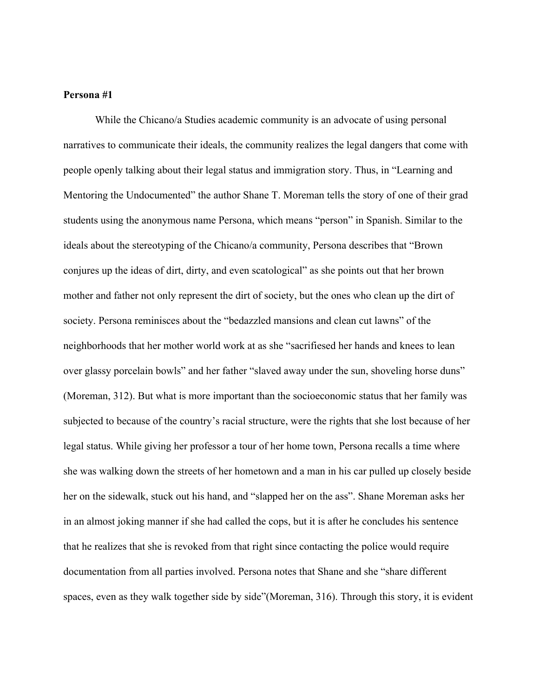## **Persona #1**

While the Chicano/a Studies academic community is an advocate of using personal narratives to communicate their ideals, the community realizes the legal dangers that come with people openly talking about their legal status and immigration story. Thus, in "Learning and Mentoring the Undocumented" the author Shane T. Moreman tells the story of one of their grad students using the anonymous name Persona, which means "person" in Spanish. Similar to the ideals about the stereotyping of the Chicano/a community, Persona describes that "Brown conjures up the ideas of dirt, dirty, and even scatological" as she points out that her brown mother and father not only represent the dirt of society, but the ones who clean up the dirt of society. Persona reminisces about the "bedazzled mansions and clean cut lawns" of the neighborhoods that her mother world work at as she "sacrifiesed her hands and knees to lean over glassy porcelain bowls" and her father "slaved away under the sun, shoveling horse duns" (Moreman, 312). But what is more important than the socioeconomic status that her family was subjected to because of the country's racial structure, were the rights that she lost because of her legal status. While giving her professor a tour of her home town, Persona recalls a time where she was walking down the streets of her hometown and a man in his car pulled up closely beside her on the sidewalk, stuck out his hand, and "slapped her on the ass". Shane Moreman asks her in an almost joking manner if she had called the cops, but it is after he concludes his sentence that he realizes that she is revoked from that right since contacting the police would require documentation from all parties involved. Persona notes that Shane and she "share different spaces, even as they walk together side by side"(Moreman, 316). Through this story, it is evident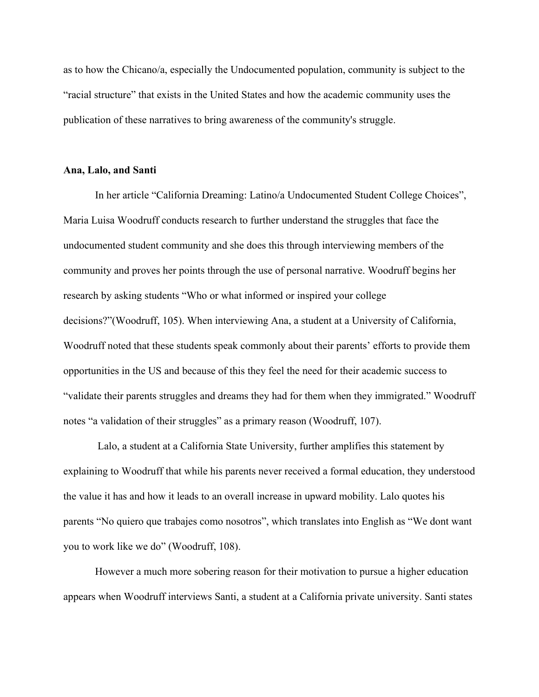as to how the Chicano/a, especially the Undocumented population, community is subject to the "racial structure" that exists in the United States and how the academic community uses the publication of these narratives to bring awareness of the community's struggle.

## **Ana, Lalo, and Santi**

In her article "California Dreaming: Latino/a Undocumented Student College Choices", Maria Luisa Woodruff conducts research to further understand the struggles that face the undocumented student community and she does this through interviewing members of the community and proves her points through the use of personal narrative. Woodruff begins her research by asking students "Who or what informed or inspired your college decisions?"(Woodruff, 105). When interviewing Ana, a student at a University of California, Woodruff noted that these students speak commonly about their parents' efforts to provide them opportunities in the US and because of this they feel the need for their academic success to "validate their parents struggles and dreams they had for them when they immigrated." Woodruff notes "a validation of their struggles" as a primary reason (Woodruff, 107).

 Lalo, a student at a California State University, further amplifies this statement by explaining to Woodruff that while his parents never received a formal education, they understood the value it has and how it leads to an overall increase in upward mobility. Lalo quotes his parents "No quiero que trabajes como nosotros", which translates into English as "We dont want you to work like we do" (Woodruff, 108).

However a much more sobering reason for their motivation to pursue a higher education appears when Woodruff interviews Santi, a student at a California private university. Santi states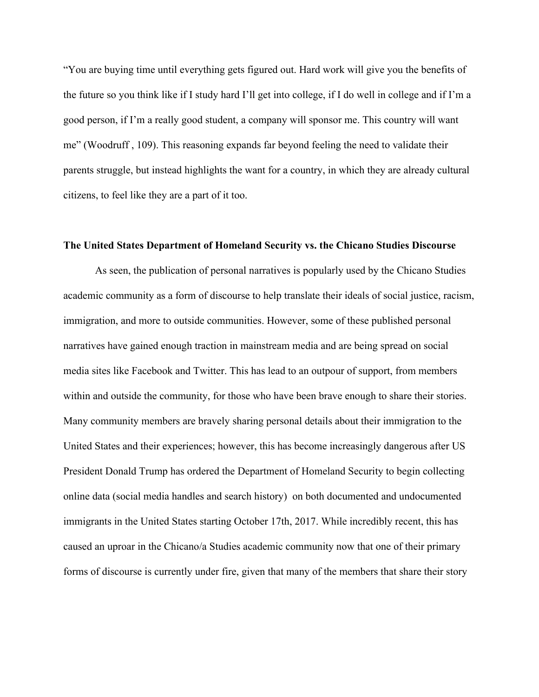"You are buying time until everything gets figured out. Hard work will give you the benefits of the future so you think like if I study hard I'll get into college, if I do well in college and if I'm a good person, if I'm a really good student, a company will sponsor me. This country will want me" (Woodruff , 109). This reasoning expands far beyond feeling the need to validate their parents struggle, but instead highlights the want for a country, in which they are already cultural citizens, to feel like they are a part of it too.

#### **The United States Department of Homeland Security vs. the Chicano Studies Discourse**

As seen, the publication of personal narratives is popularly used by the Chicano Studies academic community as a form of discourse to help translate their ideals of social justice, racism, immigration, and more to outside communities. However, some of these published personal narratives have gained enough traction in mainstream media and are being spread on social media sites like Facebook and Twitter. This has lead to an outpour of support, from members within and outside the community, for those who have been brave enough to share their stories. Many community members are bravely sharing personal details about their immigration to the United States and their experiences; however, this has become increasingly dangerous after US President Donald Trump has ordered the Department of Homeland Security to begin collecting online data (social media handles and search history) on both documented and undocumented immigrants in the United States starting October 17th, 2017. While incredibly recent, this has caused an uproar in the Chicano/a Studies academic community now that one of their primary forms of discourse is currently under fire, given that many of the members that share their story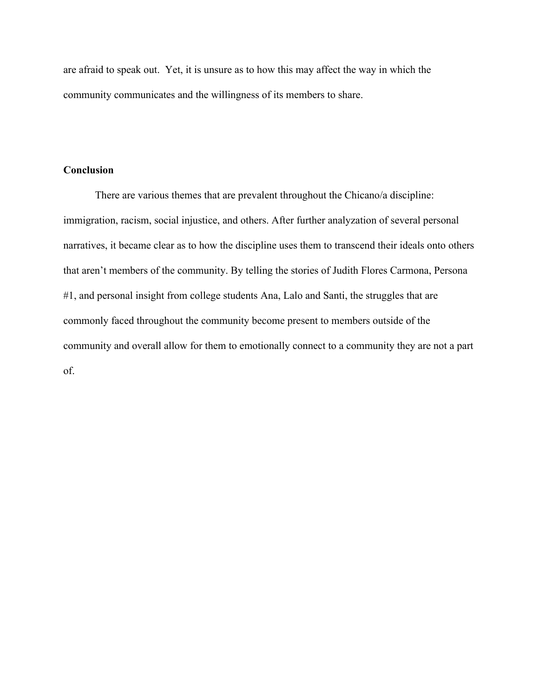are afraid to speak out. Yet, it is unsure as to how this may affect the way in which the community communicates and the willingness of its members to share.

# **Conclusion**

There are various themes that are prevalent throughout the Chicano/a discipline: immigration, racism, social injustice, and others. After further analyzation of several personal narratives, it became clear as to how the discipline uses them to transcend their ideals onto others that aren't members of the community. By telling the stories of Judith Flores Carmona, Persona #1, and personal insight from college students Ana, Lalo and Santi, the struggles that are commonly faced throughout the community become present to members outside of the community and overall allow for them to emotionally connect to a community they are not a part of.